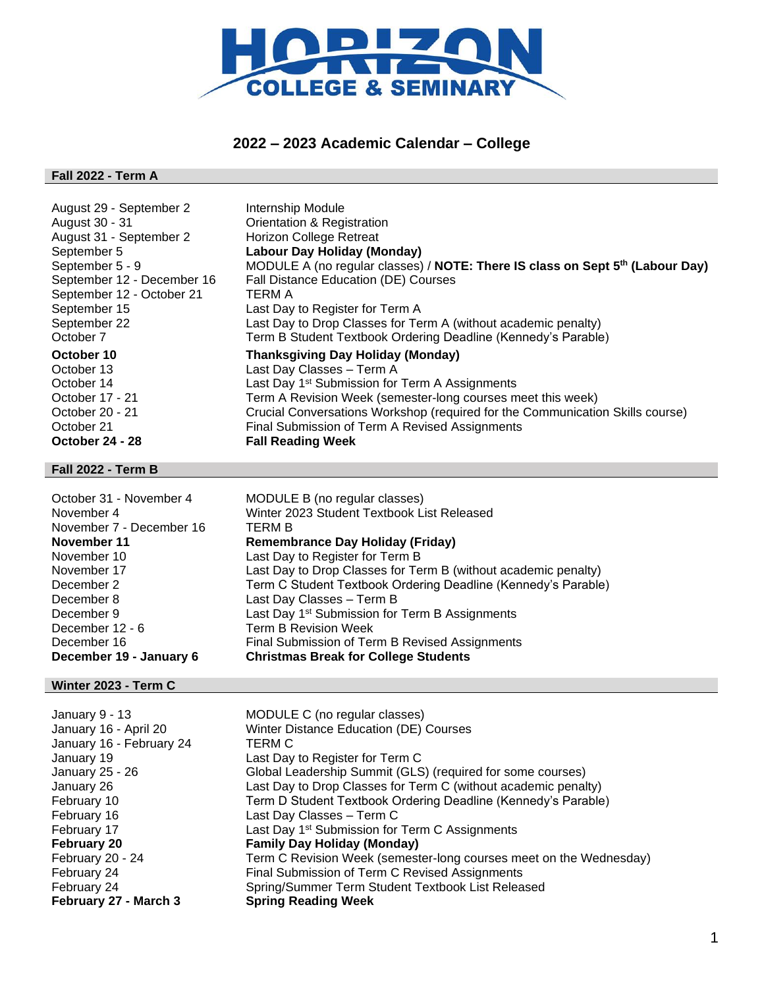

# **2022 – 2023 Academic Calendar – College**

### **Fall 2022 - Term A**

| August 29 - September 2    | Internship Module                                                             |
|----------------------------|-------------------------------------------------------------------------------|
| August 30 - 31             | Orientation & Registration                                                    |
| August 31 - September 2    | <b>Horizon College Retreat</b>                                                |
| September 5                | Labour Day Holiday (Monday)                                                   |
| September 5 - 9            | MODULE A (no regular classes) / NOTE: There IS class on Sept 5th (Labour Day) |
| September 12 - December 16 | Fall Distance Education (DE) Courses                                          |
| September 12 - October 21  | TERM A                                                                        |
| September 15               | Last Day to Register for Term A                                               |
| September 22               | Last Day to Drop Classes for Term A (without academic penalty)                |
| October 7                  | Term B Student Textbook Ordering Deadline (Kennedy's Parable)                 |
| October 10                 | <b>Thanksgiving Day Holiday (Monday)</b>                                      |
| October 13                 | Last Day Classes - Term A                                                     |
| October 14                 | Last Day 1 <sup>st</sup> Submission for Term A Assignments                    |
| October 17 - 21            | Term A Revision Week (semester-long courses meet this week)                   |
| October 20 - 21            | Crucial Conversations Workshop (required for the Communication Skills course) |
| October 21                 | Final Submission of Term A Revised Assignments                                |
| October 24 - 28            | <b>Fall Reading Week</b>                                                      |

#### **Fall 2022 - Term B**

| October 31 - November 4  | MODULE B (no regular classes)                                  |
|--------------------------|----------------------------------------------------------------|
| November 4               | Winter 2023 Student Textbook List Released                     |
| November 7 - December 16 | TERM B                                                         |
| November 11              | <b>Remembrance Day Holiday (Friday)</b>                        |
| November 10              | Last Day to Register for Term B                                |
| November 17              | Last Day to Drop Classes for Term B (without academic penalty) |
| December 2               | Term C Student Textbook Ordering Deadline (Kennedy's Parable)  |
| December 8               | Last Day Classes - Term B                                      |
| December 9               | Last Day 1 <sup>st</sup> Submission for Term B Assignments     |
| December 12 - 6          | Term B Revision Week                                           |
| December 16              | Final Submission of Term B Revised Assignments                 |
| December 19 - January 6  | <b>Christmas Break for College Students</b>                    |

### **Winter 2023 - Term C**

| January 9 - 13           | MODULE C (no regular classes)                                      |
|--------------------------|--------------------------------------------------------------------|
| January 16 - April 20    | Winter Distance Education (DE) Courses                             |
| January 16 - February 24 | TERM C                                                             |
| January 19               | Last Day to Register for Term C                                    |
| January 25 - 26          | Global Leadership Summit (GLS) (required for some courses)         |
| January 26               | Last Day to Drop Classes for Term C (without academic penalty)     |
| February 10              | Term D Student Textbook Ordering Deadline (Kennedy's Parable)      |
| February 16              | Last Day Classes - Term C                                          |
| February 17              | Last Day 1 <sup>st</sup> Submission for Term C Assignments         |
| <b>February 20</b>       | <b>Family Day Holiday (Monday)</b>                                 |
| February 20 - 24         | Term C Revision Week (semester-long courses meet on the Wednesday) |
| February 24              | Final Submission of Term C Revised Assignments                     |
| February 24              | Spring/Summer Term Student Textbook List Released                  |
| February 27 - March 3    | <b>Spring Reading Week</b>                                         |